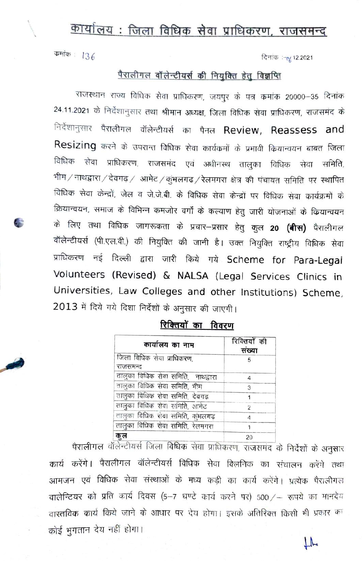## कार्यालय: जिला विधिक सेवा प्राधिकरण, राजसमन्द

कमांक:  $136$ 

दिनांक :- 0/ 12.2021

## पैरालीगल वॉलेन्टीयर्स की नियुक्ति हेतु विज्ञप्ति

राजस्थान राज्य विधिक सेवा प्राधिकरण, जयपुर के पत्र कमांक 20000-35 दिनांक 24.11.2021 के निर्देशानुसार तथा श्रीमान अध्यक्ष, जिला विधिक सेवा प्राधिकरण, राजसमंद के निर्देशानुसार पैरालीगल वॉलेन्टीयर्स का पैनल Review, Reassess and Resizing करने के उपरान्त विधिक सेवा कार्यकमों के प्रभावी कियान्वयन बाबत जिला विधिक सेवा प्राधिकरण, राजसमंद एवं अधीनस्थ तालुका विधिक सेवा समिति, भीम / नाथद्वारा / देवगढ़ / आमेट / कुंभलगढ़ / रेलमगरा क्षेत्र की पंचायत समिति पर स्थापित विधिक सेवा केन्द्रों, जेल व जे.जे.बी. के विधिक सेवा केन्द्रों पर विधिक सेवा कार्यक्रमों के क्रियान्वयन, समाज के विभिन्न कमजोर वर्गों के कल्याण हेतु जारी योजनाओं के कियान्वयन के लिए तथा विधिक जागरूकता के प्रचार—प्रसार हेतु कुल **20 (बीस)** पैरालीगल वॉलेन्टीयर्स (पी.एल.वी.) की नियुक्ति की जानी है। उक्त नियुक्ति राष्ट्रीय विधिक सेवा प्राधिकरण नई दिल्ली द्वारा जारी किये गये Scheme for Para-Legal Volunteers (Revised) & NALSA (Legal Services Clinics in Universities, Law Colleges and other Institutions) Scheme, 2013 में दिये गये दिशा निर्देशों के अनुसार की जाएगी।

| कार्यालय का नाम                        | रिक्तियों की<br>संख्या |  |
|----------------------------------------|------------------------|--|
| जिला विधिक सेवा प्राधिकरण,<br>राजसमन्द | 5                      |  |
| तालुका विधिक सेवा समिति, नाथद्वारा     | 4                      |  |
| तालुका विधिक सेवा समिति, भीम           | 3                      |  |
| तालुका विधिक सेवा समिति, देवगढ         |                        |  |
| तालुका विधिक सेवा समिति, आमेट          | $\overline{2}$         |  |
| तालुका विधिक सेवा समिति, कुंभलगढ़      |                        |  |
| तालुका विधिक सेवा समिति, रेलमगरा       |                        |  |
| कुल                                    | 20                     |  |

रिक्तियों का विवरण

पैरालीगल वॉर्लेन्टीयर्स जिला विधिक सेवा प्राधिकरण, राजसमंद के निर्देशों के अनुसार कार्य करेंगे। पैरालीगल वॉलेन्टीयर्स विधिक सेवा क्लिनिक का संचालन करेंगे तथा आमजन एवं विधिक सेवा संस्थाओं के मध्य कड़ी का कार्य करेंगे। प्रत्येक पैरालीगल वालेन्टियर को प्रति कार्य दिवस (5-7 घण्टे कार्य करने पर) 500 /- रूपये का मानदेय वास्तविक कार्य किये जाने के आधार पर देय होगा। इसके अतिरिक्त किसी भी प्रकार का कोई भुगतान देय नहीं होगा।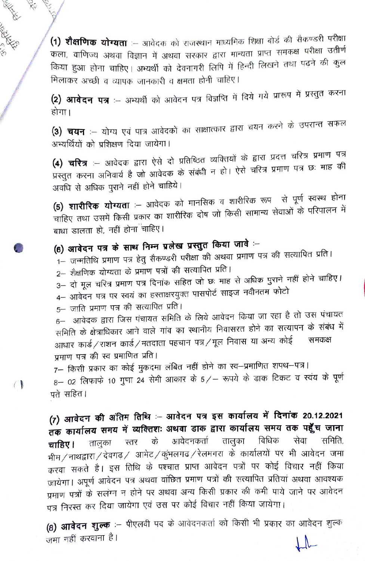(1) शैक्षणिक योग्यता :- आवेदक को राजस्थान माध्यमिक शिक्षा बोर्ड की सैकण्डरी परीक्षा कला, वाणिज्य अथवा विज्ञान में अथवा सरकार द्वारा मान्यता प्राप्त समकक्ष परीक्षा उतीर्ण किया हुआ होना चाहिए। अभ्यर्थी को देवनागरी लिपि में हिन्दी लिखने तथा पढ़ने की कुल मिलाकर अच्छी व व्यापक जानकारी व क्षमता होनी चाहिए।

(2) आवेदन पत्र :-- अभ्यर्थी को आवेदन पत्र विज्ञप्ति में दिये गये प्रारूप में प्रस्तुत करना होगा।

(3) चयन :– योग्य एवं पात्र आवेदकों का साक्षात्कार द्वारा चयन करने के उपरान्त सफल अभ्यर्थियों को प्रशिक्षण दिया जायेगा।

(4) चरित्र :-- आवेदक द्वारा ऐसे दो प्रतिष्ठित व्यक्तियों के द्वारा प्रदत्त चरित्र प्रमाण पत्र प्रस्तुत करना अनिवार्य है जो आवेदक के संबंधी न हो। ऐसे चरित्र प्रमाण पत्र छः माह की अवधि से अधिक पुराने नहीं होने चाहिये।

**(5) शारीरिक योग्यता** :— आवेदक को मानसिक व शारीरिक रूप से पूर्ण स्वस्थ होना चाहिए तथा उसमें किसी प्रकार का शारीरिक दोष जो किसी सामान्य सेवाओं के परिपालन में बाधा डालता हो, नहीं होना चाहिए।

(6) आवेदन पत्र के साथ निम्न प्रलेख प्रस्तुत किया जावे :-

- 1– जन्मतिथि प्रमाण पत्र हेतु सैकण्डरी परीक्षा की अथवा प्रमाण पत्र की सत्यापित प्रति।
- 2– शैक्षणिक योग्यता के प्रमाण पत्रों की सत्यापित प्रति।
- 3– दो मूल चरित्र प्रमाण पत्र दिनांक सहित जो छः माह से अधिक पुराने नहीं होने चाहिए।
- 4- आवेदन पत्र पर स्वयं का हस्ताक्षरयुक्त पासपोर्ट साइज नवीनतम फोटो
- 5– जाति प्रमाण पत्र की सत्यापित प्रति।

**KALL RAKE** 

 $\bigcap$ 

6– आवेदक द्वारा जिस पंचायत समिति के लिये आवेदन किया जा रहा है तो उस पंचायत समिति के क्षेत्राधिकार आने वाले गांव का स्थानीय निवासरत होने का सत्यापन के संबंध में आधार कार्ड/राशन कार्ड/मतदाता पहचान पत्र/मूल निवास या अन्य कोई समकक्ष प्रमाण पत्र की स्व प्रमाणित प्रति।

7– किसी प्रकार का कोई मुकदमा लंबित नहीं होने का स्व–प्रमाणित शपथ–पत्र।  $8-$  02 लिफाफे 10 गुणा 24 सेमी आकार के 5/- रूपये के डाक टिकट व स्वंय के पूर्ण पते सहित।

(7) आवेदन की अंतिम तिथि :- आवेदन पत्र इस कार्यालय में दिनांक 20.12.2021 तक कार्यालय समय में व्यक्तिशः अथवा डाक द्वारा कार्यालय समय तक पहूँच जाना आवेदनकर्ता तालुका विधिक तालुका स्तर सेवा समिति. के चाहिए । भीम/नाथद्वारा/देवगढ़/ आमेट/कुंभलगढ़/रेलमगरा के कार्यालयों पर भी आवेदन जमा करवा सकते है। इस तिथि के पश्चात प्राप्त आवेदन पत्रों पर कोई विचार नहीं किया जायेगा। अपूर्ण आवेदन पत्र अथवा वांछित प्रमाण पत्रों की सत्यापित प्रतियां अथवा आवश्यक प्रमाण पत्रों के सलंग्न न होने पर अथवा अन्य किसी प्रकार की कमी पाये जाने पर आवेदन पत्र निरस्त कर दिया जायेगा एवं उस पर कोई विचार नहीं किया जायेगा।

(8) आवेदन शुल्क :- पीएलवी पद के आवेदनकर्ता को किसी भी प्रकार का आवेदन शुल्क जमा नहीं करवाना है।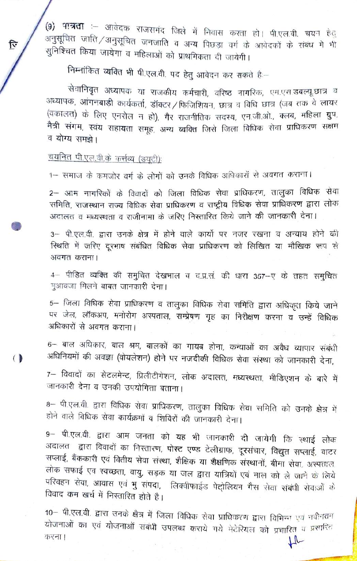(9) पात्रता :- आवेदक राजसमंद जिले में निवास करता हो। पी.एल.वी. चयन हैतु अनुसूचित जाति /अनुसूचित जनजाति व अन्य पिछड़ा वर्ग के आवेदकों के संबंध में भी सुनिश्चित किया जायेगा व महिलाओं को प्राथमिकता दी जायेगी।

निम्नांकित व्यक्ति भी पी.एल.वी. पद हेतु आवेदन कर सकते हैं:--

सेवानिवृत अध्यापक या राजकीय कर्मचारी, वरिष्ठ नागरिक, एम.एस.डबल्यू.छात्र व अध्यापक, आंगनबाड़ी कार्यकर्ता, डॉक्टर / फिजिशियन, छात्र व विधि छात्र (जब तक वे लायर (वकालत) के लिए एनरोल न हो), गैर राजनीतिक सदस्य, एन.जी.ओ., क्लब, महिला ग्रुप, .<br>मैत्री संगम, स्वंय सहायता समूह, अन्य व्यक्ति जिसे जिला विधिक सेवा प्राधिकरण सक्षम व योग्य समझे।

चयनित पी.एल.वी.के कर्त्तव्य (डयूटी):

 $\mathbf{\hat{F}}$ 

 $\big($ 

1- समाज के कमजोर वर्ग के लोगों को उनके विधिक अधिकारों से अवगत कराना।

2– आम नागरिकों के विवादों को जिला विधिक सेवा प्राधिकरण, तालुका विधिक सेवा समिति, राजस्थान राज्य विधिक सेवा प्राधिकरण व राष्ट्रीय विधिक सेवा प्राधिकरण द्वारा लोक अदालत व मध्यस्थता व राजीनामा के जरिए निस्तारित किये जाने की जानकारी देना।

3- पी.एल.वी. द्वारा उनके क्षेत्र में होने वाले कार्यो पर नजर रखना व अन्याय होने की स्थिति में जरिए दूरभाष संबंधित विधिक सेवा प्राधिकरण को लिखित या मौखिक रूप से अवगत कराना।

4– पीड़ित व्यक्ति की समुचित देखभाल व द.प्र.सं. की धारा 357–ए के तहत समुचित मुआवजा मिलने बाबत जानकारी देना।

5– जिला विधिक सेवा प्राधिकरण व तालुका विधिक सेवा समिति द्वारा अधिकृत किये जाने पर जेल, लॉकअप, मनोरोग अस्पताल, सम्प्रेषण गृह का निरीक्षण करना व उन्हें विधिक अधिकारों से अवगत कराना।

6– बाल अधिकार, बाल श्रम, बालकों का गायब होना, कन्याओं का अवैध व्यापार संबंधी अधिनियमों की अवज्ञा (वोयलेशन) होने पर नजदीकी विधिक सेवा संस्था को जानकारी देना,

7– विवादों का सेटलमेन्ट, प्रिलीटीगेशन, लोक अदालत, मध्यस्थता, मीडिएशन के बारे में जानकारी देना व उनकी उपयोगिता बताना।

8– पी.एल.वी. द्वारा विधिक सेवा प्राधिकरण, तालुका विधिक सेवा समिति को उनके क्षेत्र में होने वाले विधिक सेवा कार्यक्रमों व शिविरों की जानकारी देना।

9– पी.एल.वी. द्वारा आम जनता को यह भी जानकारी दी जायेगी कि स्थाई लोक अदालत द्वारा विवादों का निस्तारण, पोस्ट एण्ड टेलीग्राफ, दूरसंचार, विद्युत सप्लाई, वाटर सप्लाई, बैंककारी एवं वितीय सेवा संस्था, शैक्षिक या शैक्षणिक संस्थानों, बीमा सेवा, अस्पताल, लोक सफाई एव स्वच्छता, वायु, सड़क या जल द्वारा यात्रियों एवं माल को ले जाने के लिये परिवहन सेवा, आवास एवं भु संपदा, लिक्वीफाईड पेट्रोलियम गैस सेवा संबंधी सेवाओं के विवाद कम खर्च में निस्तारित होते है।

10- पी.एल.वी. द्वारा उनके क्षेत्र में जिला विधिक सेवा प्राधिकरण द्वारा विभिन्न एवं नवीनतम योजनाओं का एवं योजनाओं सबंधी उपलब्ध कराये गये मेटेरियल को प्रचारित व प्रसारित करना।  $\mu$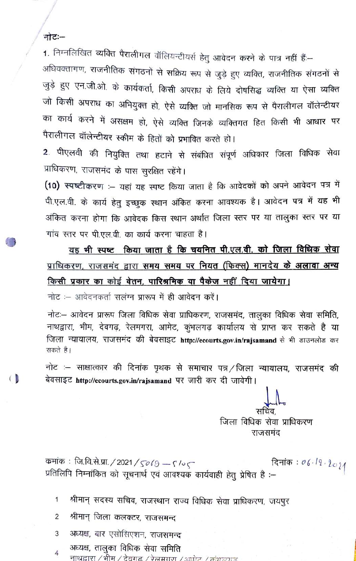## नोटः–

 $\overline{1}$ 

1. निम्नलिखित व्यक्ति पैरालीगल वॉलियन्टीयर्स हेतु आवेदन करने के पात्र नहीं हैं:-

अधिवक्तागण, राजनीतिक संगठनों से सक्रिय रूप से जुड़े हुए व्यक्ति, राजनीतिक संगठनों से जुड़े हुए एन.जी.ओ. के कार्यकर्ता, किसी अपराध के लिये दोषसिद्ध व्यक्ति या ऐसा व्यक्ति जो किसी अपराध का अभियुक्त हो, ऐसे व्यक्ति जो मानसिक रूप से पैरालीगल वॉलेन्टीयर का कार्य करने में असक्षम हो, ऐसे व्यक्ति जिनके व्यक्तिगत हित किसी भी आधार पर पैरालीगल वॉलेन्टीयर स्कीम के हितों को प्रभावित करते हो।

2. पीएलवी की नियुक्ति तथा हटाने से संबंधित संपूर्ण अधिकार जिला विधिक सेवा प्राधिकरण, राजसमंद के पास सुरक्षित रहेंगे।

(10) स्पष्टीकरण :- यहां यह स्पष्ट किया जाता है कि आवेदकों को अपने आवेदन पत्र में पी.एल.वी. के कार्य हेतु इच्छुक स्थान अंकित करना आवश्यक है। आवेदन पत्र में यह भी अंकित करना होगा कि आवेदक किस स्थान अर्थात जिला स्तर पर या तालुका स्तर पर या गांव स्तर पर पी.एल.वी. का कार्य करना चाहता है।

यह भी स्पष्ट किया जाता है कि चयनित पी.एल.वी. को जिला विधिक सेवा प्राधिकरण, राजसमंद द्वारा समय समय पर नियत (फिक्स) मानदेय के अलावा अन्य किसी प्रकार का कोई वेतन, पारिश्रमिक या पैकेज नहीं दिया जायेगा।

नोट :- आवेदनकर्ता सलंग्न प्रारूप में ही आवेदन करें।

नोटः- आवेदन प्रारूप जिला विधिक सेवा प्राधिकरण, राजसमंद, तालुका विधिक सेवा समिति, नाथद्वारा, भीम, देवगढ़, रेलमगरा, आमेट, कुंभलगढ़ कार्यालय से प्राप्त कर सकते है या जिला न्यायालय, राजसमंद की बेवसाइट http://ecourts.gov.in/rajsamand से भी डाउनलोड कर सकते है।

नोट :- साक्षात्कार की दिनांक पृथक से समाचार पत्र / जिला न्यायालय, राजसमंद की बेवसाइट http://ecourts.gov.in/rajsamand पर जारी कर दी जावेगी।

जिला विधिक सेवा प्राधिकरण राजसमंद

दिनांक:  $06.12.2021$ कुमांक: जि.वि.से.प्रा. / 2021 / 5069 — 5 /० 5 प्रतिलिपि निम्नांकित को सूचनार्थ एवं आवश्यक कार्यवाही हेतु प्रेषित है :-

श्रीमान् सदस्य सचिव, राजस्थान राज्य विधिक सेवा प्राधिकरण, जयपुर  $\mathbf{1}$ 

- श्रीमान् जिला कलक्टर, राजसमन्द 2
- अध्यक्ष, बार एसोसिएशन, राजसमन्द 3
- अध्यक्ष, तालुका विधिक सेवा समिति  $\overline{4}$ नाथद्वारा / भीम / देवगढ़ / रेलमगण / आमेट / कंभन्यात्र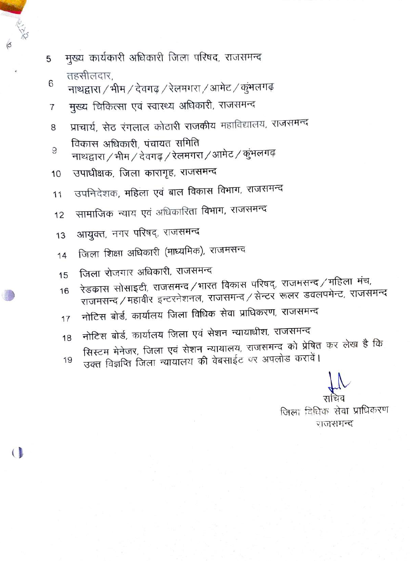- मुख्य कार्यकारी अधिकारी जिला परिषद, राजसमन्द 5 तहसीलदार.
- 6 नाथद्वारा / भीम / देवगढ़ / रेलमगरा / आमेट / कुंभलगढ़
- मुख्य चिकित्सा एवं स्वास्थ्य अधिकारी, राजसमन्द 7
- प्राचार्य, सेठ रंगलाल कोठारी राजकीय महाविद्यालय, राजसमन्द 8
- विकास अधिकारी, पंचायत समिति
- 9 नाथद्वारा / भीम / देवगढ़ / रेलमगरा / आमेट / कुंभलगढ़
- उपाधीक्षक, जिला कारागृह, राजसमन्द 10
- उपनिदेशक, महिला एवं बाल विकास विभाग, राजसमन्द 11
- सामाजिक न्याय एवं अधिकारिता विभाग, राजसमन्द  $12$
- आयुक्त, नगर परिषद्, राजसमन्द 13

 $\overline{1}$ 

- जिला शिक्षा अधिकारी (माध्यमिक), राजमसन्द 14
- जिला रोजगार अधिकारी, राजसमन्द 15
- रेडकास सोसाइटी, राजसमन्द /भारत विकास परिषद्, राजमसन्द /महिला मंच, राजमसन्द / महावीर इन्टरनेशनल, राजसमन्द / सेन्टर रूलर डवलपमेन्ट, राजसमन्द 16
- नोटिस बोर्ड, कार्यालय जिला विधिक सेवा प्राधिकरण, राजसमन्द 17
- नोटिस बोर्ड, कार्यालय जिला एवं सेशन न्यायाधीश, राजसमन्द 18
- सिस्टम मेनेजर, जिला एवं सेशन न्यायालय, राजसमन्द को प्रेषित कर लेख है कि उक्त विज्ञप्ति जिला न्यायालय की वेबसाईट पर अपलोड करावें। 19

जिला विधिक सेवा प्राधिकरण राजसमन्द